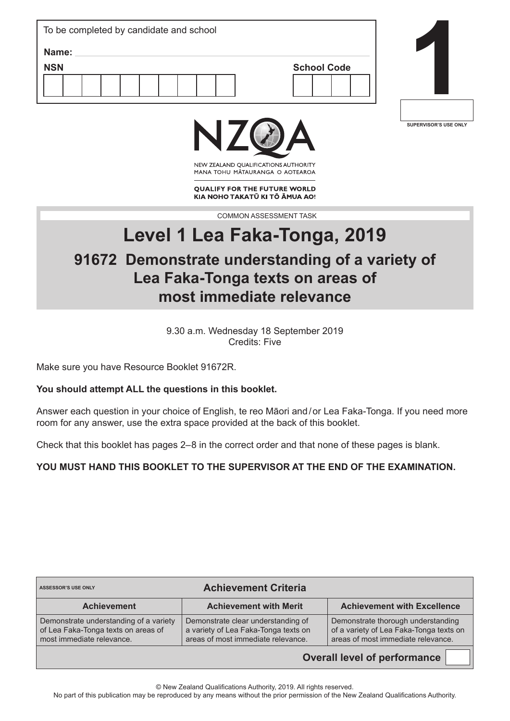| To be completed by candidate and school |                    |
|-----------------------------------------|--------------------|
| Name:                                   |                    |
| <b>NSN</b>                              | <b>School Code</b> |
|                                         |                    |
|                                         |                    |



**SUPERVISOR'S USE ONLY**



NEW ZEALAND OUALIFICATIONS AUTHORITY MANA TOHU MATAURANGA O AOTEAROA

**QUALIFY FOR THE FUTURE WORLD** KIA NOHO TAKATŪ KI TŌ ĀMUA AO!

COMMON ASSESSMENT TASK

# **Level 1 Lea Faka-Tonga, 2019**

# **91672 Demonstrate understanding of a variety of Lea Faka-Tonga texts on areas of most immediate relevance**

9.30 a.m. Wednesday 18 September 2019 Credits: Five

Make sure you have Resource Booklet 91672R.

#### **You should attempt ALL the questions in this booklet.**

Answer each question in your choice of English, te reo Māori and/or Lea Faka-Tonga. If you need more room for any answer, use the extra space provided at the back of this booklet.

Check that this booklet has pages 2–8 in the correct order and that none of these pages is blank.

**YOU MUST HAND THIS BOOKLET TO THE SUPERVISOR AT THE END OF THE EXAMINATION.**

| <b>Achievement Criteria</b><br><b>ASSESSOR'S USE ONLY</b>                                                  |                                                                                                                  |                                                                                                                     |  |
|------------------------------------------------------------------------------------------------------------|------------------------------------------------------------------------------------------------------------------|---------------------------------------------------------------------------------------------------------------------|--|
| <b>Achievement</b>                                                                                         | <b>Achievement with Merit</b>                                                                                    | <b>Achievement with Excellence</b>                                                                                  |  |
| Demonstrate understanding of a variety<br>of Lea Faka-Tonga texts on areas of<br>most immediate relevance. | Demonstrate clear understanding of<br>a variety of Lea Faka-Tonga texts on<br>areas of most immediate relevance. | Demonstrate thorough understanding<br>of a variety of Lea Faka-Tonga texts on<br>areas of most immediate relevance. |  |

**Overall level of performance**

© New Zealand Qualifications Authority, 2019. All rights reserved.

No part of this publication may be reproduced by any means without the prior permission of the New Zealand Qualifications Authority.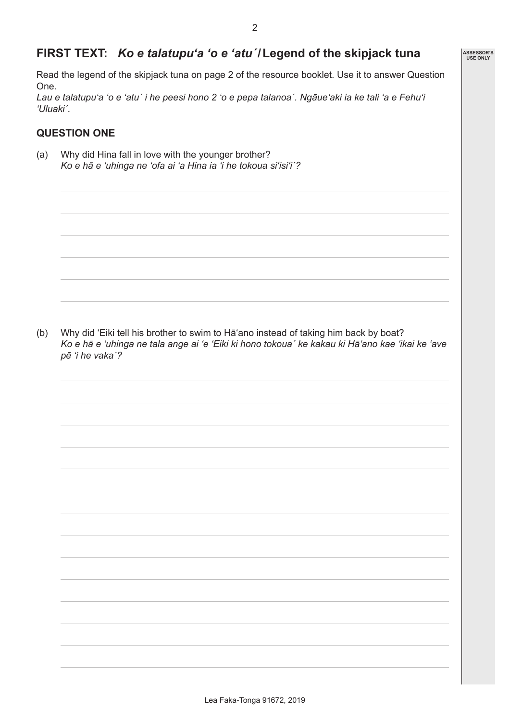**ASSESSOR'S USE ONLY**

# **FIRST TEXT:** *Ko e talatupu'a 'o e 'atuˊ***/Legend of the skipjack tuna**

Read the legend of the skipjack tuna on page 2 of the resource booklet. Use it to answer Question One.

*Lau e talatupu'a 'o e 'atuˊ i he peesi hono 2 'o e pepa talanoa´. Ngāue'aki ia ke tali 'a e Fehu'i 'Uluakiˊ.*

### **QUESTION ONE**

(a) Why did Hina fall in love with the younger brother? *Ko e hā e 'uhinga ne 'ofa ai 'a Hina ia 'i he tokoua si'isi'iˊ?*

(b) Why did 'Eiki tell his brother to swim to Hā'ano instead of taking him back by boat? *Ko e hā e 'uhinga ne tala ange ai 'e 'Eiki ki hono tokouaˊ ke kakau ki Hā'ano kae 'ikai ke 'ave pē 'i he vakaˊ?*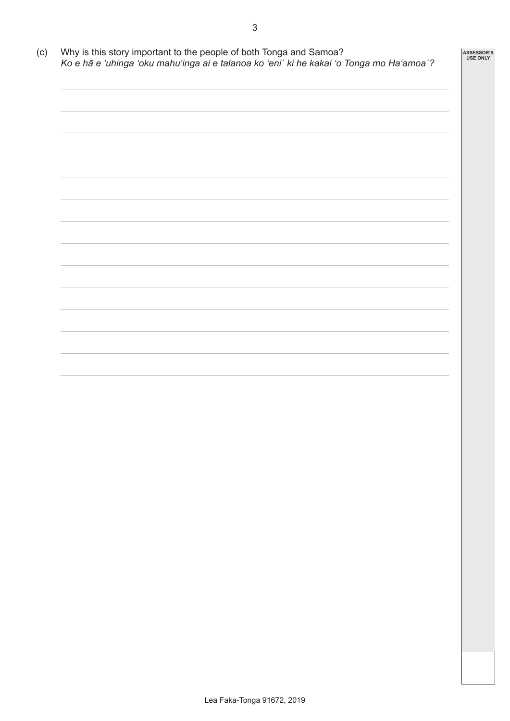(c) Why is this story important to the people of both Tonga and Samoa? *Ko e hā e 'uhinga 'oku mahu'inga ai e talanoa ko 'eniˊ ki he kakai 'o Tonga mo Ha'amoaˊ?*

**ASSESSOR'S USE ONLY**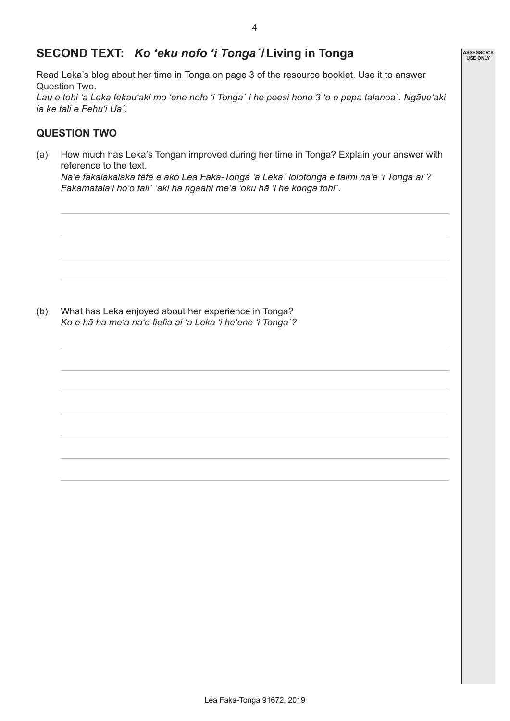## **SECOND TEXT:** *Ko 'eku nofo 'i Tongaˊ***/Living in Tonga**

Read Leka's blog about her time in Tonga on page 3 of the resource booklet. Use it to answer Question Two.

*Lau e tohi 'a Leka fekau'aki mo 'ene nofo 'i Tongaˊ i he peesi hono 3 'o e pepa talanoa´. Ngāue'aki ia ke tali e Fehu'i Uaˊ.*

#### **QUESTION TWO**

(a) How much has Leka's Tongan improved during her time in Tonga? Explain your answer with reference to the text.

*Na'e fakalakalaka fēfē e ako Lea Faka-Tonga 'a Lekaˊ lolotonga e taimi na'e 'i Tonga aiˊ? Fakamatala'i ho'o taliˊ 'aki ha ngaahi me'a 'oku hā 'i he konga tohiˊ.*

(b) What has Leka enjoyed about her experience in Tonga? *Ko e hā ha me'a na'e fiefia ai 'a Leka 'i he'ene 'i Tongaˊ?*

| ASSESSOR'S<br>USE ONLY |
|------------------------|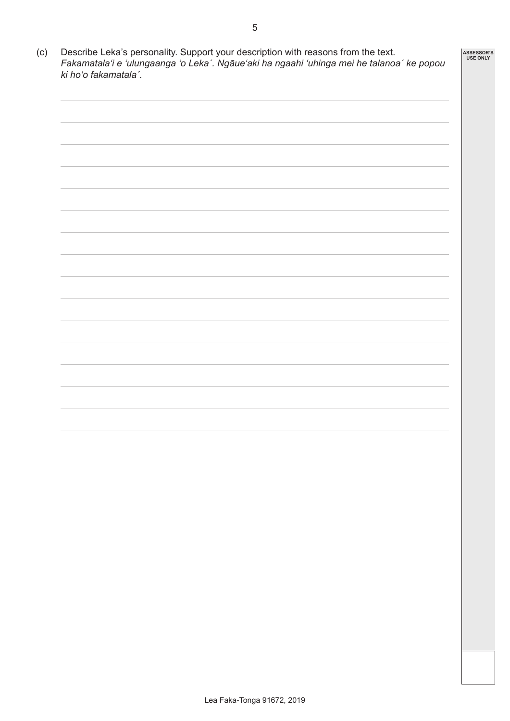(c) Describe Leka's personality. Support your description with reasons from the text. *Fakamatala'i e 'ulungaanga 'o Lekaˊ. Ngāue'aki ha ngaahi 'uhinga mei he talanoaˊ ke popou ki ho'o fakamatalaˊ.* **ASSESSOR'S USE ONLY**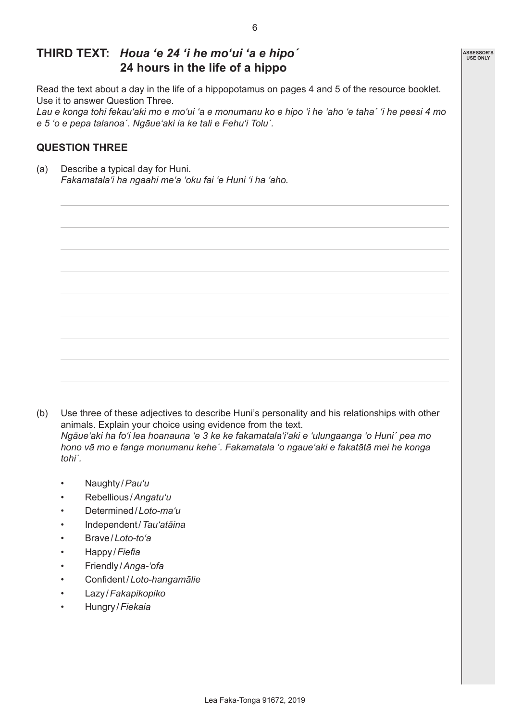### **THIRD TEXT:** *Houa 'e 24 'i he mo'ui 'a e hipoˊ* **24 hours in the life of a hippo**

Read the text about a day in the life of a hippopotamus on pages 4 and 5 of the resource booklet. Use it to answer Question Three.

*Lau e konga tohi fekau'aki mo e mo'ui 'a e monumanu ko e hipo 'i he 'aho 'e tahaˊ 'i he peesi 4 mo e 5 'o e pepa talanoa´. Ngāue'aki ia ke tali e Fehu'i Toluˊ.*

#### **QUESTION THREE**

(a) Describe a typical day for Huni. *Fakamatala'i ha ngaahi me'a 'oku fai 'e Huni 'i ha 'aho.*

(b) Use three of these adjectives to describe Huni's personality and his relationships with other animals. Explain your choice using evidence from the text. *Ngāue'aki ha fo'i lea hoanauna 'e 3 ke ke fakamatala'i'aki e 'ulungaanga 'o Huniˊ pea mo hono vā mo e fanga monumanu keheˊ. Fakamatala 'o ngaue'aki e fakatātā mei he konga tohiˊ.*

- Naughty /*Pau'u*
- Rebellious /*Angatu'u*
- Determined/*Loto-ma'u*
- Independent/*Tau'atāina*
- Brave/*Loto-to'a*
- Happy /*Fiefia*
- Friendly /*Anga-'ofa*
- Confident/*Loto-hangamālie*
- Lazy /*Fakapikopiko*
- Hungry /*Fiekaia*

**ASSESSOR'S USE ONLY**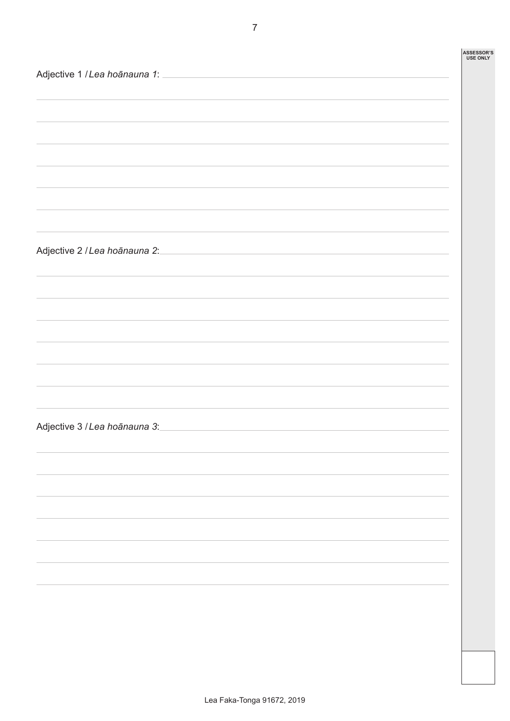|                                                                                                      | <b>ASSESSOR'S</b><br><b>USE ONLY</b> |
|------------------------------------------------------------------------------------------------------|--------------------------------------|
|                                                                                                      |                                      |
|                                                                                                      |                                      |
|                                                                                                      |                                      |
|                                                                                                      |                                      |
|                                                                                                      |                                      |
|                                                                                                      |                                      |
|                                                                                                      |                                      |
|                                                                                                      |                                      |
|                                                                                                      |                                      |
|                                                                                                      |                                      |
|                                                                                                      |                                      |
| Adjective 2 / Lea hoānauna 2:<br><u> 1980 - Johann Barbara, martxa alemaniar amerikan basar da a</u> |                                      |
|                                                                                                      |                                      |
|                                                                                                      |                                      |
|                                                                                                      |                                      |
|                                                                                                      |                                      |
|                                                                                                      |                                      |
|                                                                                                      |                                      |
|                                                                                                      |                                      |
|                                                                                                      |                                      |
|                                                                                                      |                                      |
|                                                                                                      |                                      |
| Adjective 3 / Lea hoānauna 3:                                                                        |                                      |
|                                                                                                      |                                      |
|                                                                                                      |                                      |
|                                                                                                      |                                      |
|                                                                                                      |                                      |
|                                                                                                      |                                      |
|                                                                                                      |                                      |
|                                                                                                      |                                      |
|                                                                                                      |                                      |
|                                                                                                      |                                      |
|                                                                                                      |                                      |
|                                                                                                      |                                      |
|                                                                                                      |                                      |
|                                                                                                      |                                      |
|                                                                                                      |                                      |

 $\Gamma$